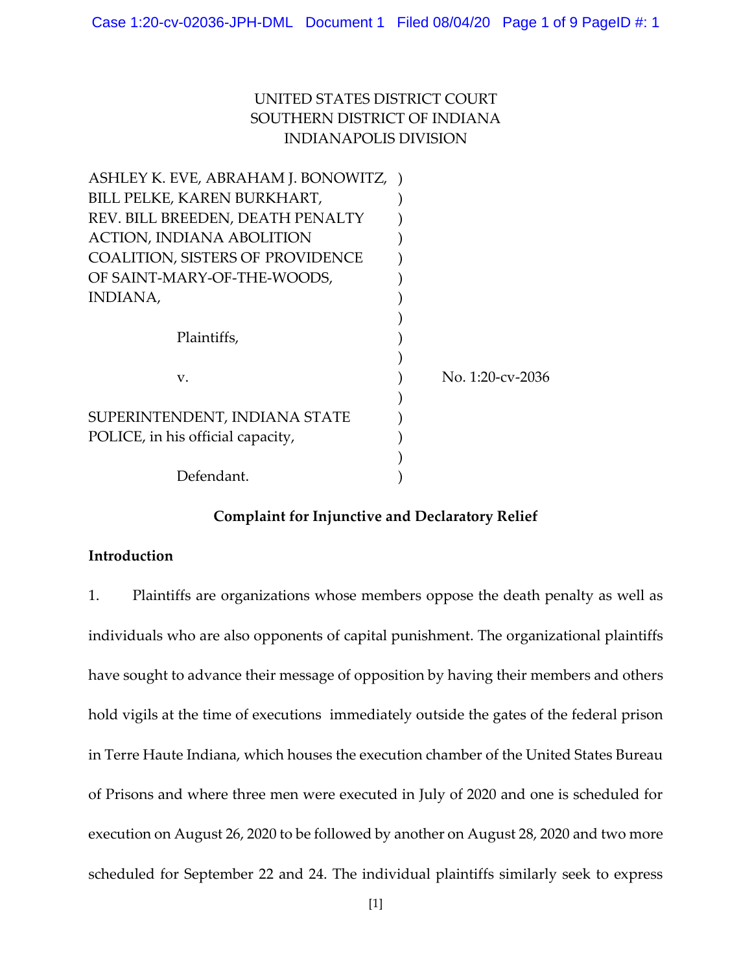# UNITED STATES DISTRICT COURT SOUTHERN DISTRICT OF INDIANA INDIANAPOLIS DIVISION

| ASHLEY K. EVE, ABRAHAM J. BONOWITZ,     |                  |
|-----------------------------------------|------------------|
| BILL PELKE, KAREN BURKHART,             |                  |
| REV. BILL BREEDEN, DEATH PENALTY        |                  |
| <b>ACTION, INDIANA ABOLITION</b>        |                  |
| <b>COALITION, SISTERS OF PROVIDENCE</b> |                  |
| OF SAINT-MARY-OF-THE-WOODS,             |                  |
| INDIANA,                                |                  |
|                                         |                  |
| Plaintiffs,                             |                  |
|                                         |                  |
| V.                                      | No. 1:20-cv-2036 |
|                                         |                  |
| SUPERINTENDENT, INDIANA STATE           |                  |
| POLICE, in his official capacity,       |                  |
|                                         |                  |
| Defendant.                              |                  |

## **Complaint for Injunctive and Declaratory Relief**

### **Introduction**

1. Plaintiffs are organizations whose members oppose the death penalty as well as individuals who are also opponents of capital punishment. The organizational plaintiffs have sought to advance their message of opposition by having their members and others hold vigils at the time of executions immediately outside the gates of the federal prison in Terre Haute Indiana, which houses the execution chamber of the United States Bureau of Prisons and where three men were executed in July of 2020 and one is scheduled for execution on August 26, 2020 to be followed by another on August 28, 2020 and two more scheduled for September 22 and 24. The individual plaintiffs similarly seek to express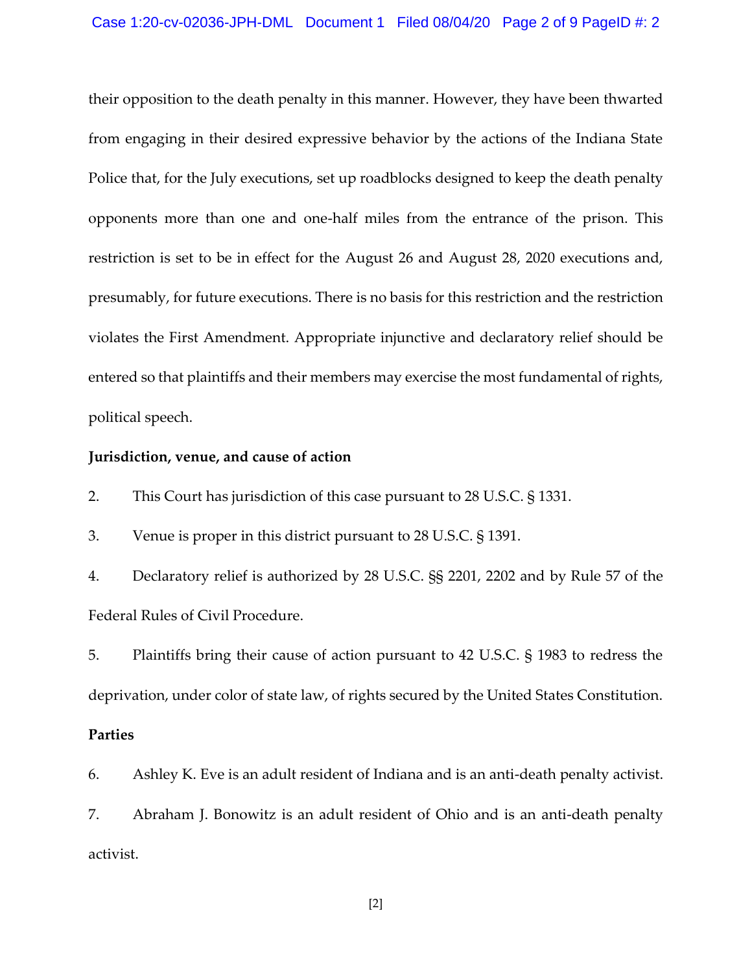their opposition to the death penalty in this manner. However, they have been thwarted from engaging in their desired expressive behavior by the actions of the Indiana State Police that, for the July executions, set up roadblocks designed to keep the death penalty opponents more than one and one-half miles from the entrance of the prison. This restriction is set to be in effect for the August 26 and August 28, 2020 executions and, presumably, for future executions. There is no basis for this restriction and the restriction violates the First Amendment. Appropriate injunctive and declaratory relief should be entered so that plaintiffs and their members may exercise the most fundamental of rights, political speech.

#### **Jurisdiction, venue, and cause of action**

2. This Court has jurisdiction of this case pursuant to 28 U.S.C. § 1331.

3. Venue is proper in this district pursuant to 28 U.S.C. § 1391.

4. Declaratory relief is authorized by 28 U.S.C. §§ 2201, 2202 and by Rule 57 of the Federal Rules of Civil Procedure.

5. Plaintiffs bring their cause of action pursuant to 42 U.S.C. § 1983 to redress the deprivation, under color of state law, of rights secured by the United States Constitution.

### **Parties**

6. Ashley K. Eve is an adult resident of Indiana and is an anti-death penalty activist. 7. Abraham J. Bonowitz is an adult resident of Ohio and is an anti-death penalty activist.

[2]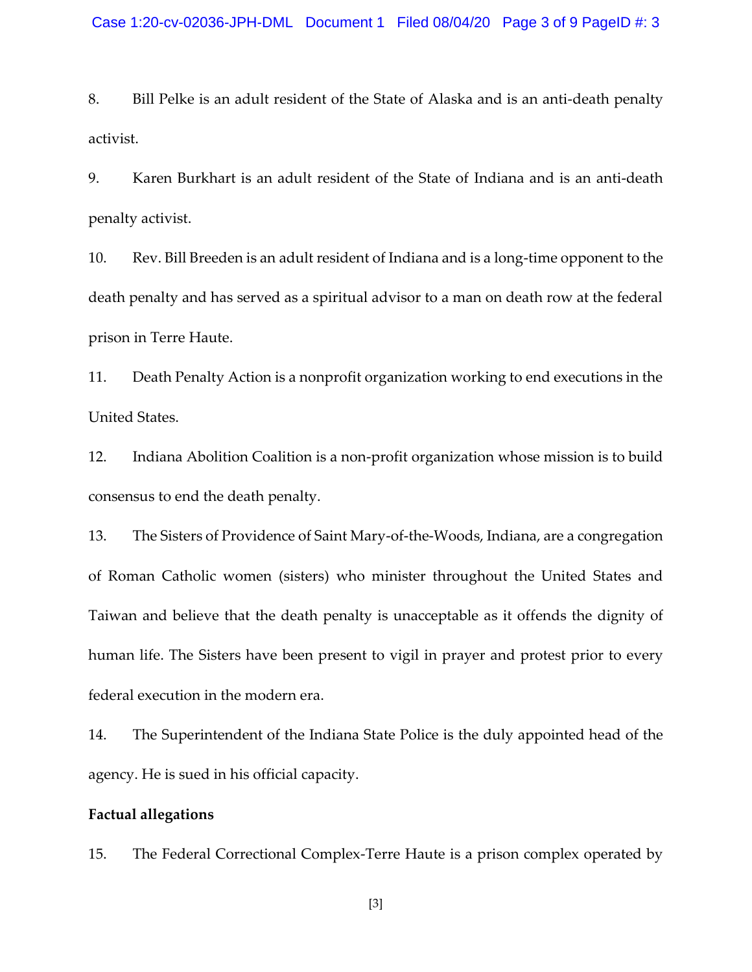8. Bill Pelke is an adult resident of the State of Alaska and is an anti-death penalty activist.

9. Karen Burkhart is an adult resident of the State of Indiana and is an anti-death penalty activist.

10. Rev. Bill Breeden is an adult resident of Indiana and is a long-time opponent to the death penalty and has served as a spiritual advisor to a man on death row at the federal prison in Terre Haute.

11. Death Penalty Action is a nonprofit organization working to end executions in the United States.

12. Indiana Abolition Coalition is a non-profit organization whose mission is to build consensus to end the death penalty.

13. The Sisters of Providence of Saint Mary-of-the-Woods, Indiana, are a congregation of Roman Catholic women (sisters) who minister throughout the United States and Taiwan and believe that the death penalty is unacceptable as it offends the dignity of human life. The Sisters have been present to vigil in prayer and protest prior to every federal execution in the modern era.

14. The Superintendent of the Indiana State Police is the duly appointed head of the agency. He is sued in his official capacity.

#### **Factual allegations**

15. The Federal Correctional Complex-Terre Haute is a prison complex operated by

[3]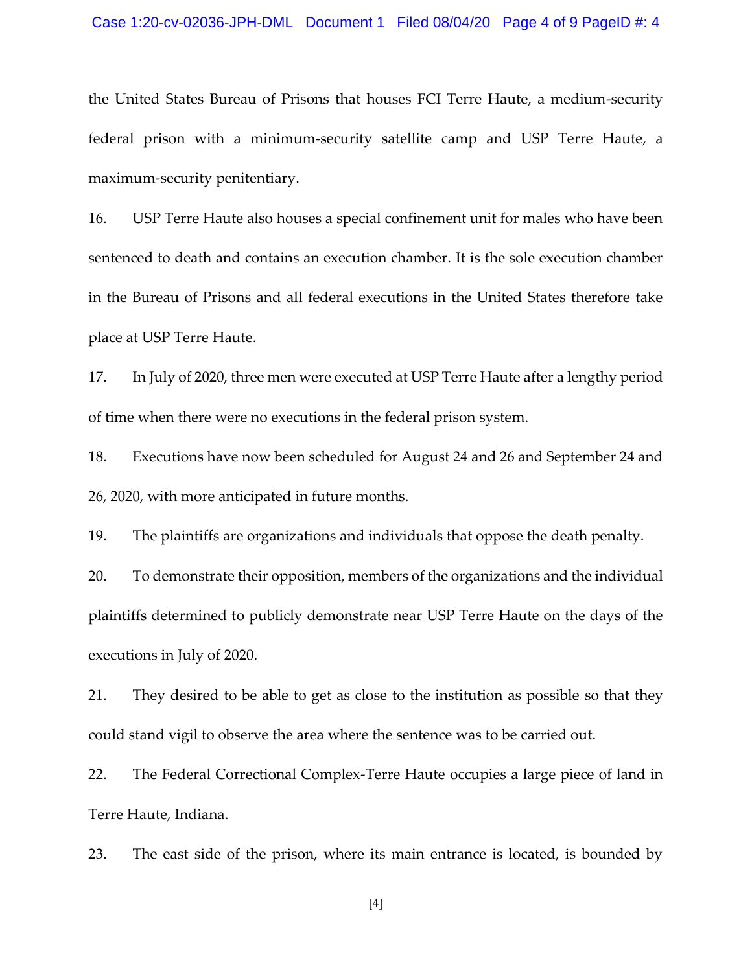### Case 1:20-cv-02036-JPH-DML Document 1 Filed 08/04/20 Page 4 of 9 PageID #: 4

the United States Bureau of Prisons that houses FCI Terre Haute, a medium-security federal prison with a minimum-security satellite camp and USP Terre Haute, a maximum-security penitentiary.

16. USP Terre Haute also houses a special confinement unit for males who have been sentenced to death and contains an execution chamber. It is the sole execution chamber in the Bureau of Prisons and all federal executions in the United States therefore take place at USP Terre Haute.

17. In July of 2020, three men were executed at USP Terre Haute after a lengthy period of time when there were no executions in the federal prison system.

18. Executions have now been scheduled for August 24 and 26 and September 24 and 26, 2020, with more anticipated in future months.

19. The plaintiffs are organizations and individuals that oppose the death penalty.

20. To demonstrate their opposition, members of the organizations and the individual plaintiffs determined to publicly demonstrate near USP Terre Haute on the days of the executions in July of 2020.

21. They desired to be able to get as close to the institution as possible so that they could stand vigil to observe the area where the sentence was to be carried out.

22. The Federal Correctional Complex-Terre Haute occupies a large piece of land in Terre Haute, Indiana.

23. The east side of the prison, where its main entrance is located, is bounded by

[4]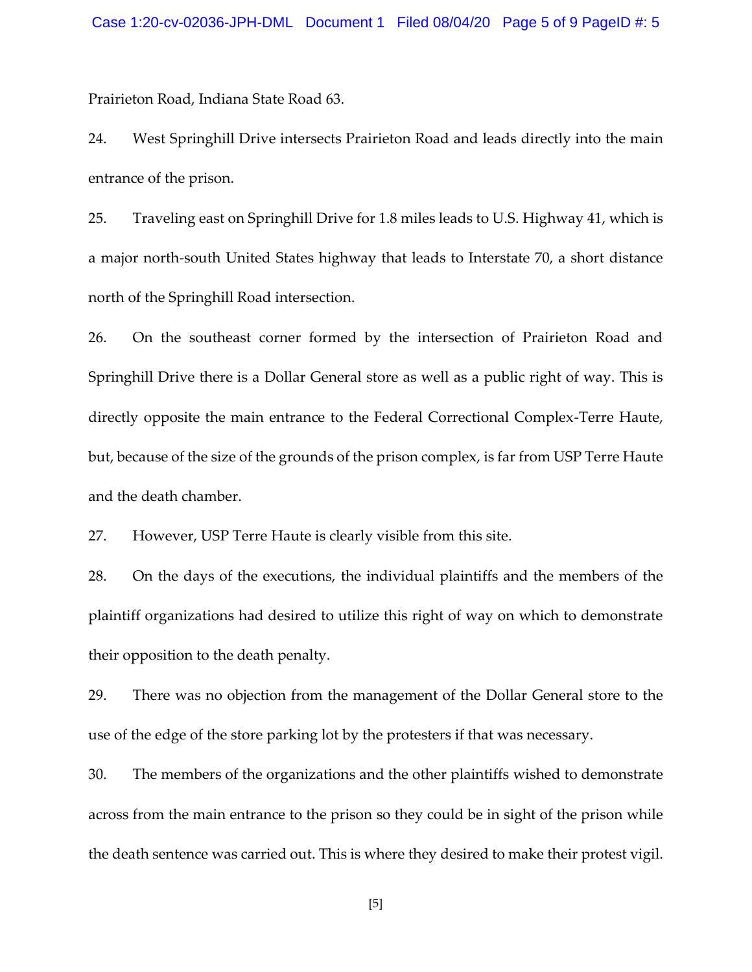Prairieton Road, Indiana State Road 63.

24. West Springhill Drive intersects Prairieton Road and leads directly into the main entrance of the prison.

25. Traveling east on Springhill Drive for 1.8 miles leads to U.S. Highway 41, which is a major north-south United States highway that leads to Interstate 70, a short distance north of the Springhill Road intersection.

26. On the southeast corner formed by the intersection of Prairieton Road and Springhill Drive there is a Dollar General store as well as a public right of way. This is directly opposite the main entrance to the Federal Correctional Complex-Terre Haute, but, because of the size of the grounds of the prison complex, is far from USP Terre Haute and the death chamber.

27. However, USP Terre Haute is clearly visible from this site.

28. On the days of the executions, the individual plaintiffs and the members of the plaintiff organizations had desired to utilize this right of way on which to demonstrate their opposition to the death penalty.

29. There was no objection from the management of the Dollar General store to the use of the edge of the store parking lot by the protesters if that was necessary.

30. The members of the organizations and the other plaintiffs wished to demonstrate across from the main entrance to the prison so they could be in sight of the prison while the death sentence was carried out. This is where they desired to make their protest vigil.

[5]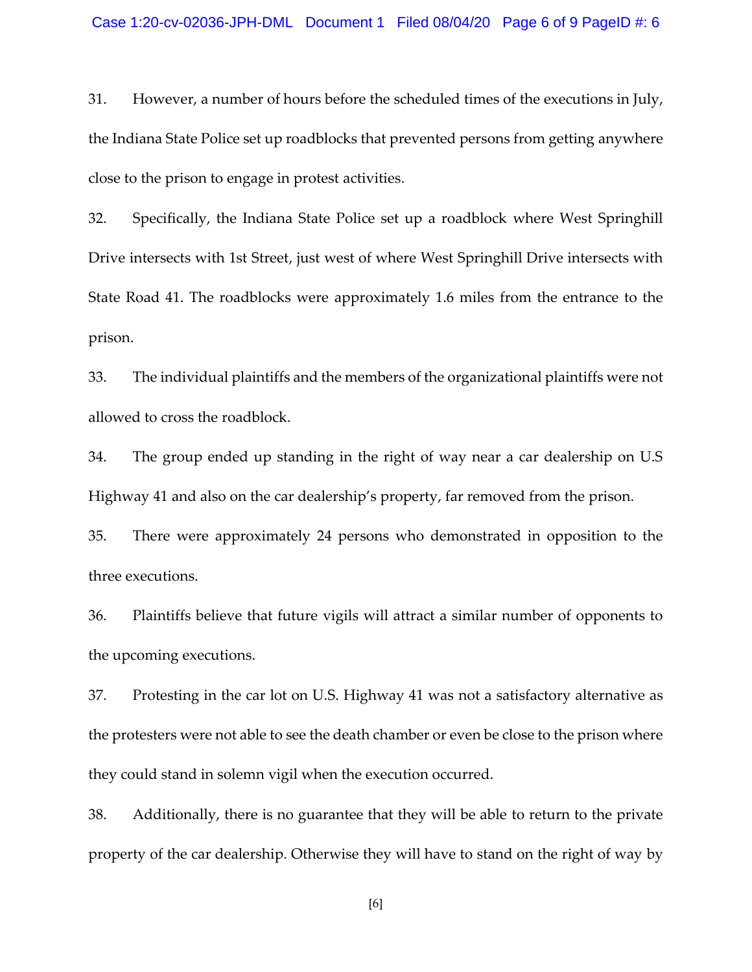31. However, a number of hours before the scheduled times of the executions in July, the Indiana State Police set up roadblocks that prevented persons from getting anywhere close to the prison to engage in protest activities.

32. Specifically, the Indiana State Police set up a roadblock where West Springhill Drive intersects with 1st Street, just west of where West Springhill Drive intersects with State Road 41. The roadblocks were approximately 1.6 miles from the entrance to the prison.

33. The individual plaintiffs and the members of the organizational plaintiffs were not allowed to cross the roadblock.

34. The group ended up standing in the right of way near a car dealership on U.S Highway 41 and also on the car dealership's property, far removed from the prison.

35. There were approximately 24 persons who demonstrated in opposition to the three executions.

36. Plaintiffs believe that future vigils will attract a similar number of opponents to the upcoming executions.

37. Protesting in the car lot on U.S. Highway 41 was not a satisfactory alternative as the protesters were not able to see the death chamber or even be close to the prison where they could stand in solemn vigil when the execution occurred.

38. Additionally, there is no guarantee that they will be able to return to the private property of the car dealership. Otherwise they will have to stand on the right of way by

[6]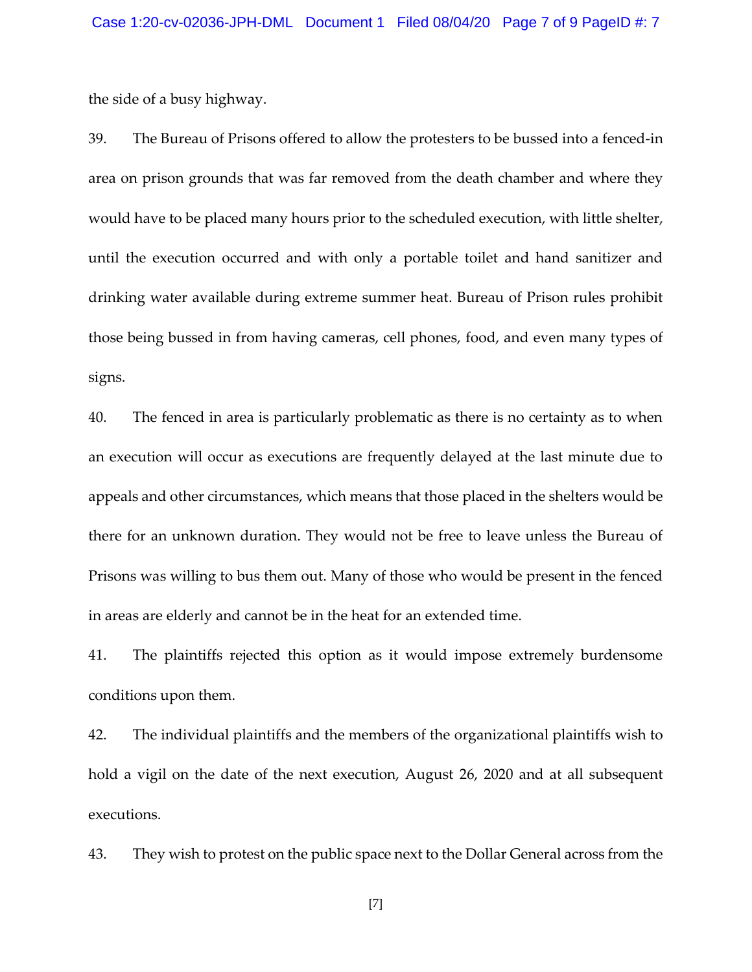the side of a busy highway.

39. The Bureau of Prisons offered to allow the protesters to be bussed into a fenced-in area on prison grounds that was far removed from the death chamber and where they would have to be placed many hours prior to the scheduled execution, with little shelter, until the execution occurred and with only a portable toilet and hand sanitizer and drinking water available during extreme summer heat. Bureau of Prison rules prohibit those being bussed in from having cameras, cell phones, food, and even many types of signs.

40. The fenced in area is particularly problematic as there is no certainty as to when an execution will occur as executions are frequently delayed at the last minute due to appeals and other circumstances, which means that those placed in the shelters would be there for an unknown duration. They would not be free to leave unless the Bureau of Prisons was willing to bus them out. Many of those who would be present in the fenced in areas are elderly and cannot be in the heat for an extended time.

41. The plaintiffs rejected this option as it would impose extremely burdensome conditions upon them.

42. The individual plaintiffs and the members of the organizational plaintiffs wish to hold a vigil on the date of the next execution, August 26, 2020 and at all subsequent executions.

43. They wish to protest on the public space next to the Dollar General across from the

[7]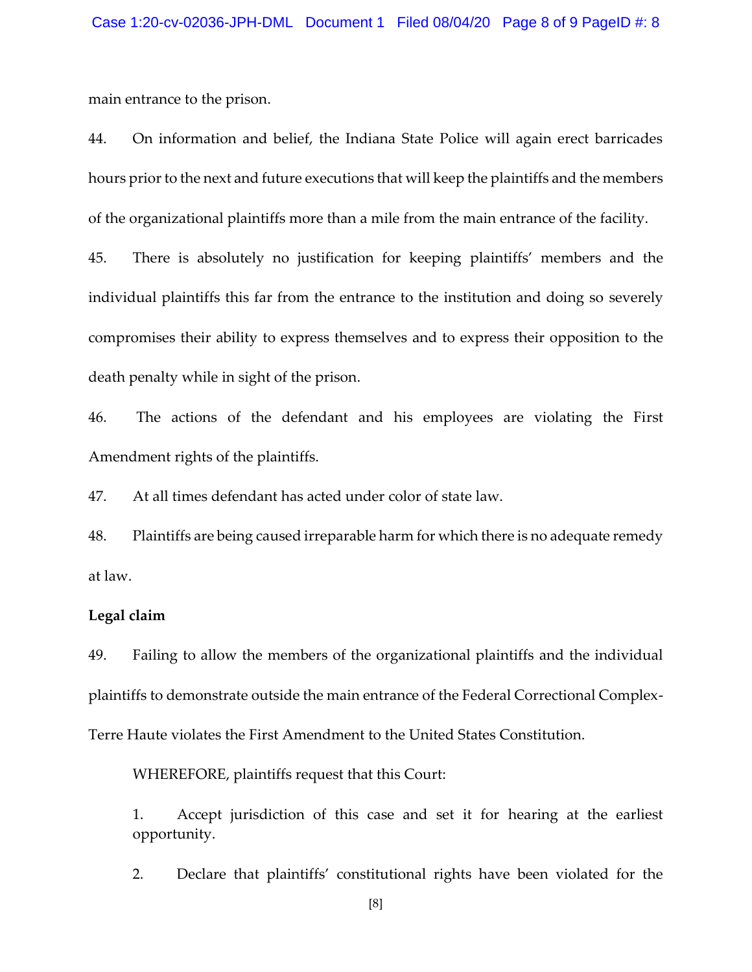main entrance to the prison.

44. On information and belief, the Indiana State Police will again erect barricades hours prior to the next and future executions that will keep the plaintiffs and the members of the organizational plaintiffs more than a mile from the main entrance of the facility.

45. There is absolutely no justification for keeping plaintiffs' members and the individual plaintiffs this far from the entrance to the institution and doing so severely compromises their ability to express themselves and to express their opposition to the death penalty while in sight of the prison.

46. The actions of the defendant and his employees are violating the First Amendment rights of the plaintiffs.

47. At all times defendant has acted under color of state law.

48. Plaintiffs are being caused irreparable harm for which there is no adequate remedy at law.

#### **Legal claim**

49. Failing to allow the members of the organizational plaintiffs and the individual plaintiffs to demonstrate outside the main entrance of the Federal Correctional Complex-Terre Haute violates the First Amendment to the United States Constitution.

WHEREFORE, plaintiffs request that this Court:

1. Accept jurisdiction of this case and set it for hearing at the earliest opportunity.

2. Declare that plaintiffs' constitutional rights have been violated for the